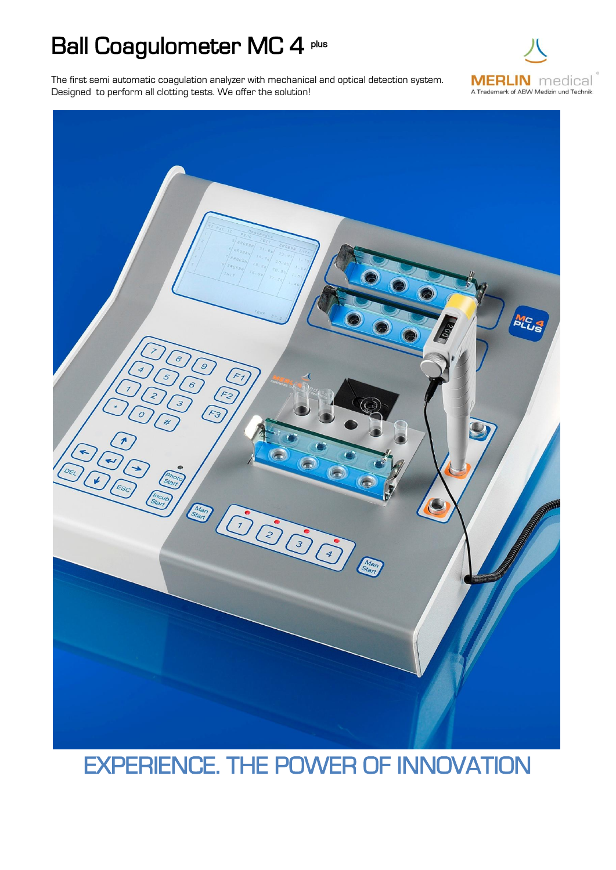## Ball Coagulometer MC 4 plus

The first semi automatic coagulation analyzer with mechanical and optical detection system. Designed to perform all clotting tests. We offer the solution!





## EXPERIENCE. THE POWER OF INNOVATION